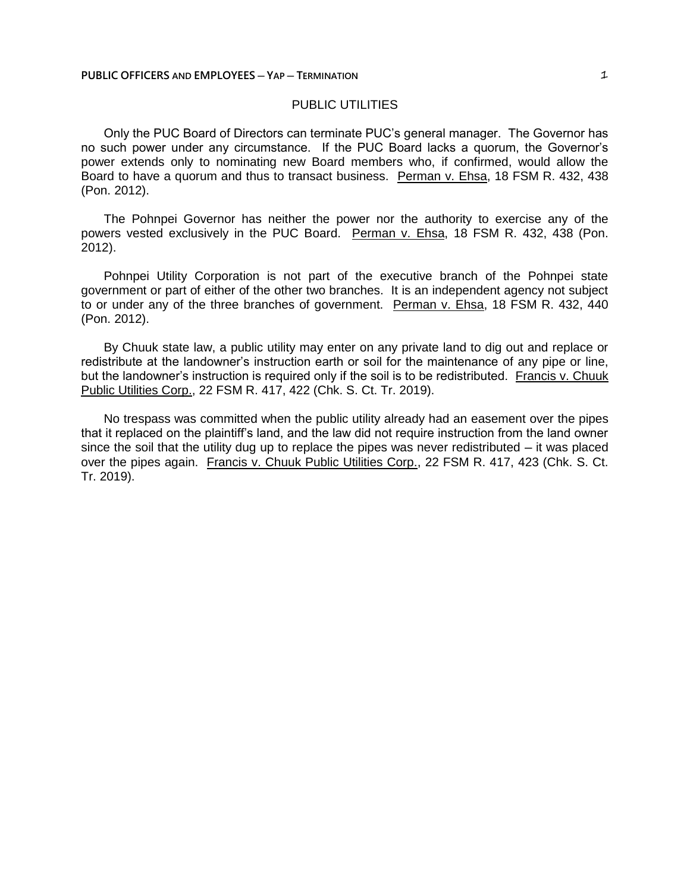## PUBLIC UTILITIES

Only the PUC Board of Directors can terminate PUC's general manager. The Governor has no such power under any circumstance. If the PUC Board lacks a quorum, the Governor's power extends only to nominating new Board members who, if confirmed, would allow the Board to have a quorum and thus to transact business. Perman v. Ehsa, 18 FSM R. 432, 438 (Pon. 2012).

The Pohnpei Governor has neither the power nor the authority to exercise any of the powers vested exclusively in the PUC Board. Perman v. Ehsa, 18 FSM R. 432, 438 (Pon. 2012).

Pohnpei Utility Corporation is not part of the executive branch of the Pohnpei state government or part of either of the other two branches. It is an independent agency not subject to or under any of the three branches of government. Perman v. Ehsa, 18 FSM R. 432, 440 (Pon. 2012).

By Chuuk state law, a public utility may enter on any private land to dig out and replace or redistribute at the landowner's instruction earth or soil for the maintenance of any pipe or line, but the landowner's instruction is required only if the soil is to be redistributed. Francis v. Chuuk Public Utilities Corp., 22 FSM R. 417, 422 (Chk. S. Ct. Tr. 2019).

No trespass was committed when the public utility already had an easement over the pipes that it replaced on the plaintiff's land, and the law did not require instruction from the land owner since the soil that the utility dug up to replace the pipes was never redistributed — it was placed over the pipes again. Francis v. Chuuk Public Utilities Corp., 22 FSM R. 417, 423 (Chk. S. Ct. Tr. 2019).